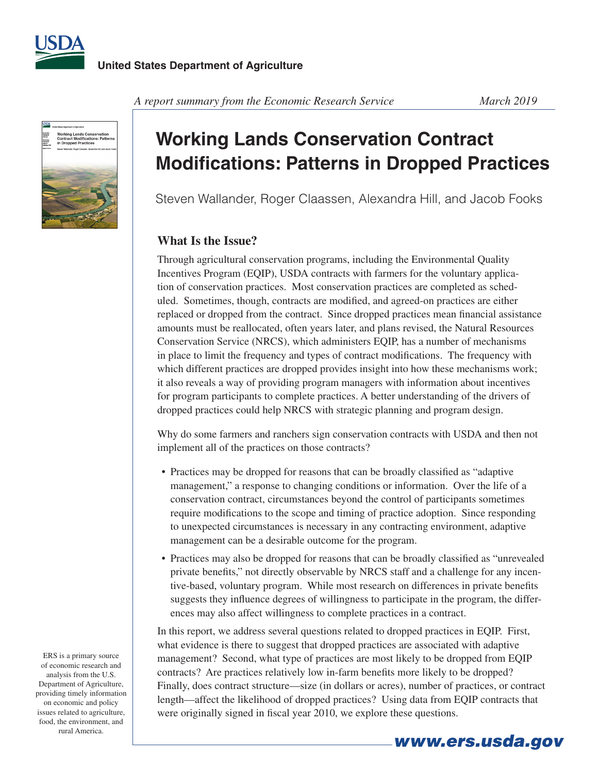



*A report summary from the Economic Research Service March 2019* 

# **Working Lands Conservation Contract Modifications: Patterns in Dropped Practices**

Steven Wallander, Roger Claassen, Alexandra Hill, and Jacob Fooks

### **What Is the Issue?**

Through agricultural conservation programs, including the Environmental Quality Incentives Program (EQIP), USDA contracts with farmers for the voluntary application of conservation practices. Most conservation practices are completed as scheduled. Sometimes, though, contracts are modifed, and agreed-on practices are either replaced or dropped from the contract. Since dropped practices mean fnancial assistance amounts must be reallocated, often years later, and plans revised, the Natural Resources Conservation Service (NRCS), which administers EQIP, has a number of mechanisms in place to limit the frequency and types of contract modifcations. The frequency with which different practices are dropped provides insight into how these mechanisms work; it also reveals a way of providing program managers with information about incentives for program participants to complete practices. A better understanding of the drivers of dropped practices could help NRCS with strategic planning and program design.

Why do some farmers and ranchers sign conservation contracts with USDA and then not implement all of the practices on those contracts?

- Practices may be dropped for reasons that can be broadly classifed as "adaptive management," a response to changing conditions or information. Over the life of a conservation contract, circumstances beyond the control of participants sometimes require modifcations to the scope and timing of practice adoption. Since responding to unexpected circumstances is necessary in any contracting environment, adaptive management can be a desirable outcome for the program.
- Practices may also be dropped for reasons that can be broadly classifed as "unrevealed private benefts," not directly observable by NRCS staff and a challenge for any incentive-based, voluntary program. While most research on differences in private benefts suggests they infuence degrees of willingness to participate in the program, the differences may also affect willingness to complete practices in a contract.

In this report, we address several questions related to dropped practices in EQIP. First, what evidence is there to suggest that dropped practices are associated with adaptive management? Second, what type of practices are most likely to be dropped from EQIP contracts? Are practices relatively low in-farm benefts more likely to be dropped? Finally, does contract structure—size (in dollars or acres), number of practices, or contract length—affect the likelihood of dropped practices? Using data from EQIP contracts that were originally signed in fscal year 2010, we explore these questions.

ERS is a primary source of economic research and analysis from the U.S. Department of Agriculture, providing timely information on economic and policy issues related to agriculture, food, the environment, and rural America.